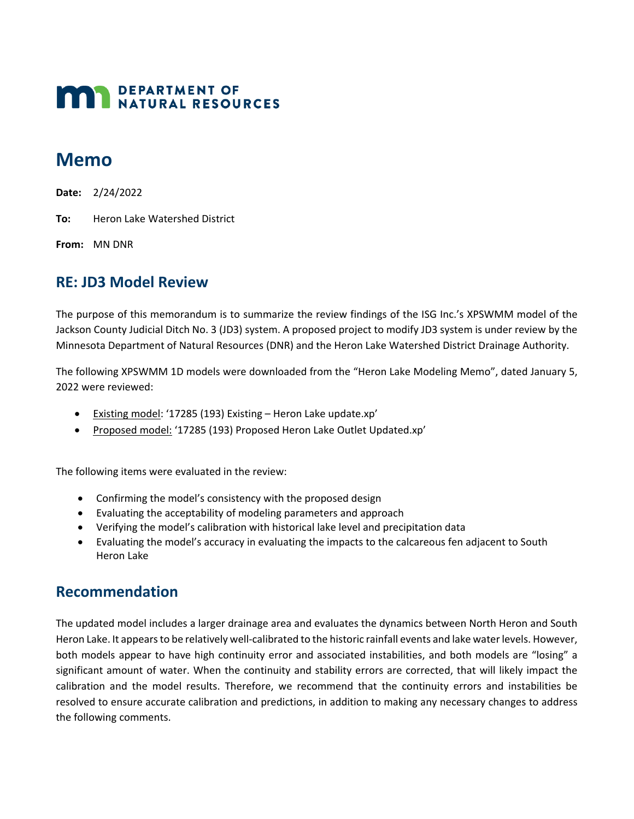# **MAN** DEPARTMENT OF NATURAL RESOURCES

# **Memo**

**Date:** 2/24/2022

**To:** Heron Lake Watershed District

**From:** MN DNR

## **RE: JD3 Model Review**

The purpose of this memorandum is to summarize the review findings of the ISG Inc.'s XPSWMM model of the Jackson County Judicial Ditch No. 3 (JD3) system. A proposed project to modify JD3 system is under review by the Minnesota Department of Natural Resources (DNR) and the Heron Lake Watershed District Drainage Authority.

The following XPSWMM 1D models were downloaded from the "Heron Lake Modeling Memo", dated January 5, 2022 were reviewed:

- Existing model: '17285 (193) Existing Heron Lake update.xp'
- Proposed model: '17285 (193) Proposed Heron Lake Outlet Updated.xp'

The following items were evaluated in the review:

- Confirming the model's consistency with the proposed design
- Evaluating the acceptability of modeling parameters and approach
- Verifying the model's calibration with historical lake level and precipitation data
- Evaluating the model's accuracy in evaluating the impacts to the calcareous fen adjacent to South Heron Lake

### **Recommendation**

The updated model includes a larger drainage area and evaluates the dynamics between North Heron and South Heron Lake. It appears to be relatively well-calibrated to the historic rainfall events and lake water levels. However, both models appear to have high continuity error and associated instabilities, and both models are "losing" a significant amount of water. When the continuity and stability errors are corrected, that will likely impact the calibration and the model results. Therefore, we recommend that the continuity errors and instabilities be resolved to ensure accurate calibration and predictions, in addition to making any necessary changes to address the following comments.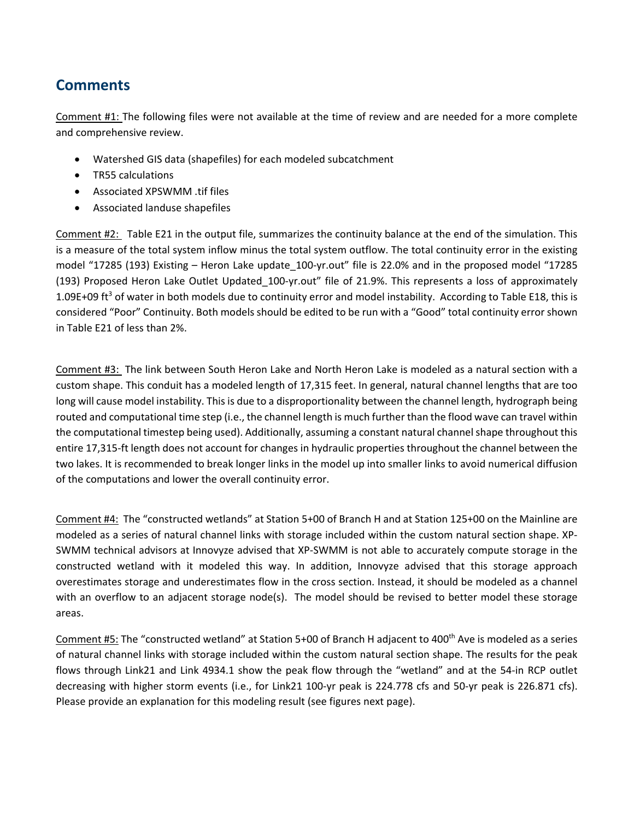## **Comments**

Comment #1: The following files were not available at the time of review and are needed for a more complete and comprehensive review.

- Watershed GIS data (shapefiles) for each modeled subcatchment
- TR55 calculations
- Associated XPSWMM .tif files
- Associated landuse shapefiles

Comment #2: Table E21 in the output file, summarizes the continuity balance at the end of the simulation. This is a measure of the total system inflow minus the total system outflow. The total continuity error in the existing model "17285 (193) Existing – Heron Lake update\_100-yr.out" file is 22.0% and in the proposed model "17285 (193) Proposed Heron Lake Outlet Updated\_100-yr.out" file of 21.9%. This represents a loss of approximately 1.09E+09 ft<sup>3</sup> of water in both models due to continuity error and model instability. According to Table E18, this is considered "Poor" Continuity. Both models should be edited to be run with a "Good" total continuity error shown in Table E21 of less than 2%.

Comment #3: The link between South Heron Lake and North Heron Lake is modeled as a natural section with a custom shape. This conduit has a modeled length of 17,315 feet. In general, natural channel lengths that are too long will cause model instability. This is due to a disproportionality between the channel length, hydrograph being routed and computational time step (i.e., the channel length is much further than the flood wave can travel within the computational timestep being used). Additionally, assuming a constant natural channel shape throughout this entire 17,315-ft length does not account for changes in hydraulic properties throughout the channel between the two lakes. It is recommended to break longer links in the model up into smaller links to avoid numerical diffusion of the computations and lower the overall continuity error.

Comment #4: The "constructed wetlands" at Station 5+00 of Branch H and at Station 125+00 on the Mainline are modeled as a series of natural channel links with storage included within the custom natural section shape. XP-SWMM technical advisors at Innovyze advised that XP-SWMM is not able to accurately compute storage in the constructed wetland with it modeled this way. In addition, Innovyze advised that this storage approach overestimates storage and underestimates flow in the cross section. Instead, it should be modeled as a channel with an overflow to an adjacent storage node(s). The model should be revised to better model these storage areas.

Comment #5: The "constructed wetland" at Station 5+00 of Branch H adjacent to 400<sup>th</sup> Ave is modeled as a series of natural channel links with storage included within the custom natural section shape. The results for the peak flows through Link21 and Link 4934.1 show the peak flow through the "wetland" and at the 54-in RCP outlet decreasing with higher storm events (i.e., for Link21 100-yr peak is 224.778 cfs and 50-yr peak is 226.871 cfs). Please provide an explanation for this modeling result (see figures next page).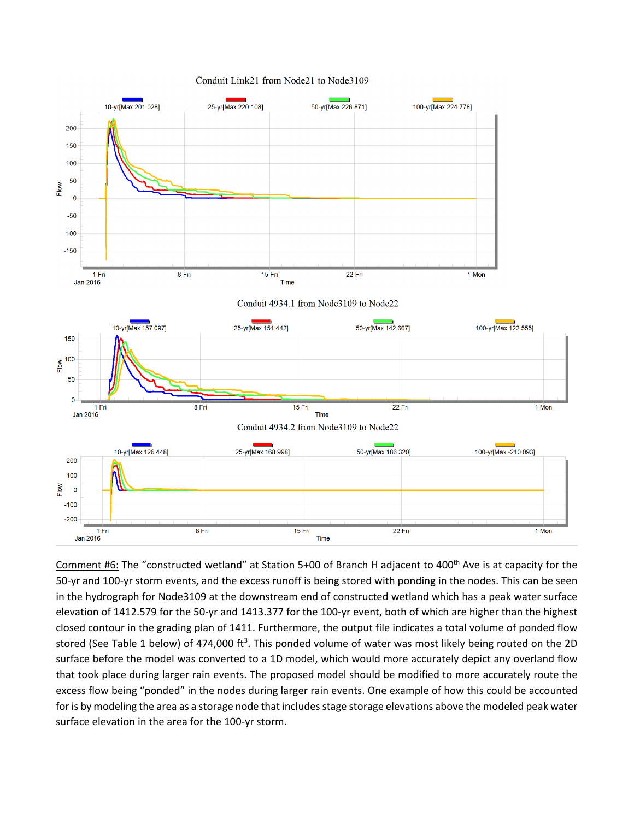



Comment #6: The "constructed wetland" at Station 5+00 of Branch H adjacent to 400<sup>th</sup> Ave is at capacity for the 50-yr and 100-yr storm events, and the excess runoff is being stored with ponding in the nodes. This can be seen in the hydrograph for Node3109 at the downstream end of constructed wetland which has a peak water surface elevation of 1412.579 for the 50-yr and 1413.377 for the 100-yr event, both of which are higher than the highest closed contour in the grading plan of 1411. Furthermore, the output file indicates a total volume of ponded flow stored (See Table 1 below) of 474,000 ft<sup>3</sup>. This ponded volume of water was most likely being routed on the 2D surface before the model was converted to a 1D model, which would more accurately depict any overland flow that took place during larger rain events. The proposed model should be modified to more accurately route the excess flow being "ponded" in the nodes during larger rain events. One example of how this could be accounted for is by modeling the area as a storage node that includes stage storage elevations above the modeled peak water surface elevation in the area for the 100-yr storm.